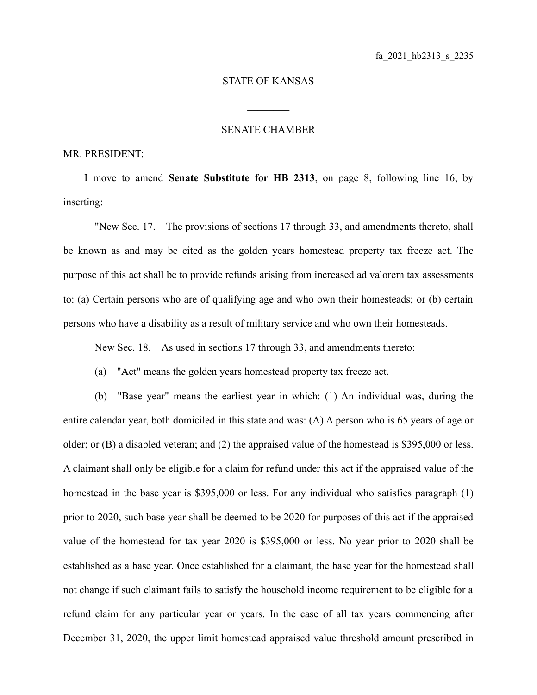## STATE OF KANSAS

 $\mathcal{L}_\text{max}$ 

## SENATE CHAMBER

## MR. PRESIDENT:

I move to amend **Senate Substitute for HB 2313**, on page 8, following line 16, by inserting:

"New Sec. 17. The provisions of sections 17 through 33, and amendments thereto, shall be known as and may be cited as the golden years homestead property tax freeze act. The purpose of this act shall be to provide refunds arising from increased ad valorem tax assessments to: (a) Certain persons who are of qualifying age and who own their homesteads; or (b) certain persons who have a disability as a result of military service and who own their homesteads.

New Sec. 18. As used in sections 17 through 33, and amendments thereto:

(a) "Act" means the golden years homestead property tax freeze act.

(b) "Base year" means the earliest year in which: (1) An individual was, during the entire calendar year, both domiciled in this state and was: (A) A person who is 65 years of age or older; or (B) a disabled veteran; and (2) the appraised value of the homestead is \$395,000 or less. A claimant shall only be eligible for a claim for refund under this act if the appraised value of the homestead in the base year is \$395,000 or less. For any individual who satisfies paragraph (1) prior to 2020, such base year shall be deemed to be 2020 for purposes of this act if the appraised value of the homestead for tax year 2020 is \$395,000 or less. No year prior to 2020 shall be established as a base year. Once established for a claimant, the base year for the homestead shall not change if such claimant fails to satisfy the household income requirement to be eligible for a refund claim for any particular year or years. In the case of all tax years commencing after December 31, 2020, the upper limit homestead appraised value threshold amount prescribed in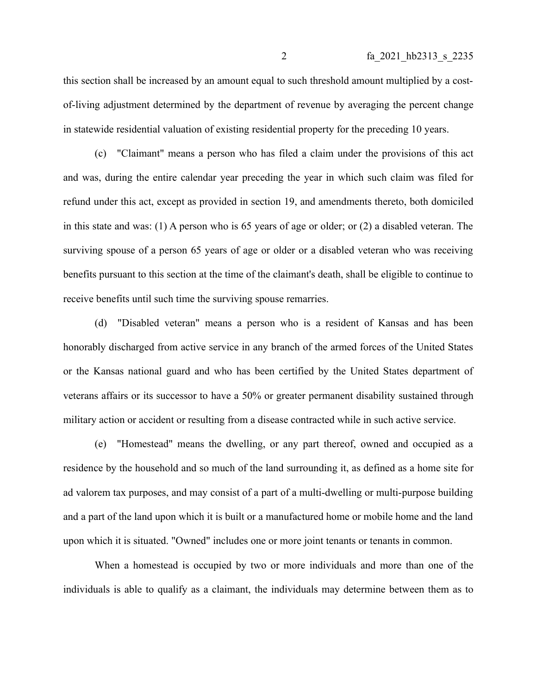this section shall be increased by an amount equal to such threshold amount multiplied by a costof-living adjustment determined by the department of revenue by averaging the percent change in statewide residential valuation of existing residential property for the preceding 10 years.

(c) "Claimant" means a person who has filed a claim under the provisions of this act and was, during the entire calendar year preceding the year in which such claim was filed for refund under this act, except as provided in section 19, and amendments thereto, both domiciled in this state and was: (1) A person who is 65 years of age or older; or (2) a disabled veteran. The surviving spouse of a person 65 years of age or older or a disabled veteran who was receiving benefits pursuant to this section at the time of the claimant's death, shall be eligible to continue to receive benefits until such time the surviving spouse remarries.

(d) "Disabled veteran" means a person who is a resident of Kansas and has been honorably discharged from active service in any branch of the armed forces of the United States or the Kansas national guard and who has been certified by the United States department of veterans affairs or its successor to have a 50% or greater permanent disability sustained through military action or accident or resulting from a disease contracted while in such active service.

(e) "Homestead" means the dwelling, or any part thereof, owned and occupied as a residence by the household and so much of the land surrounding it, as defined as a home site for ad valorem tax purposes, and may consist of a part of a multi-dwelling or multi-purpose building and a part of the land upon which it is built or a manufactured home or mobile home and the land upon which it is situated. "Owned" includes one or more joint tenants or tenants in common.

When a homestead is occupied by two or more individuals and more than one of the individuals is able to qualify as a claimant, the individuals may determine between them as to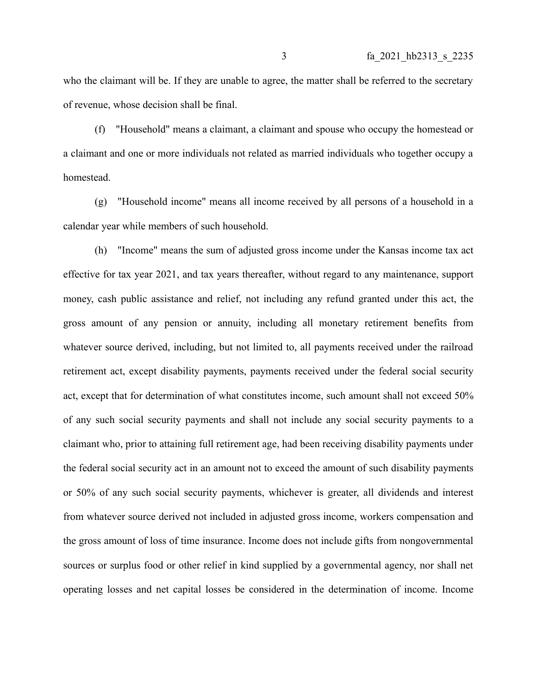who the claimant will be. If they are unable to agree, the matter shall be referred to the secretary of revenue, whose decision shall be final.

(f) "Household" means a claimant, a claimant and spouse who occupy the homestead or a claimant and one or more individuals not related as married individuals who together occupy a homestead.

(g) "Household income" means all income received by all persons of a household in a calendar year while members of such household.

(h) "Income" means the sum of adjusted gross income under the Kansas income tax act effective for tax year 2021, and tax years thereafter, without regard to any maintenance, support money, cash public assistance and relief, not including any refund granted under this act, the gross amount of any pension or annuity, including all monetary retirement benefits from whatever source derived, including, but not limited to, all payments received under the railroad retirement act, except disability payments, payments received under the federal social security act, except that for determination of what constitutes income, such amount shall not exceed 50% of any such social security payments and shall not include any social security payments to a claimant who, prior to attaining full retirement age, had been receiving disability payments under the federal social security act in an amount not to exceed the amount of such disability payments or 50% of any such social security payments, whichever is greater, all dividends and interest from whatever source derived not included in adjusted gross income, workers compensation and the gross amount of loss of time insurance. Income does not include gifts from nongovernmental sources or surplus food or other relief in kind supplied by a governmental agency, nor shall net operating losses and net capital losses be considered in the determination of income. Income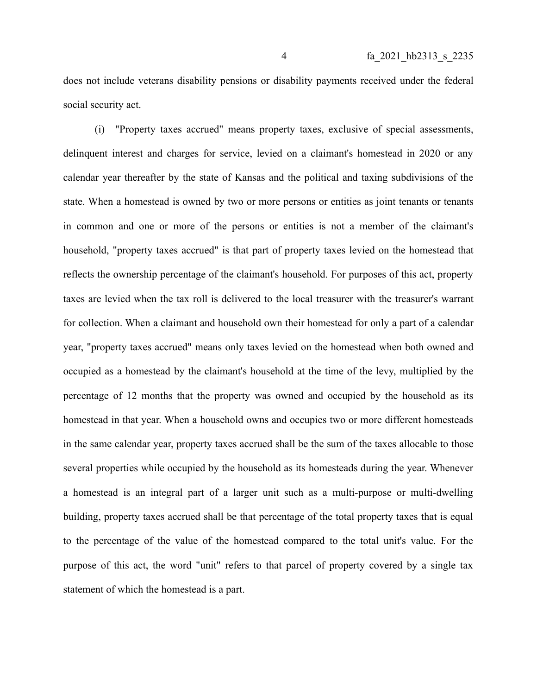does not include veterans disability pensions or disability payments received under the federal social security act.

(i) "Property taxes accrued" means property taxes, exclusive of special assessments, delinquent interest and charges for service, levied on a claimant's homestead in 2020 or any calendar year thereafter by the state of Kansas and the political and taxing subdivisions of the state. When a homestead is owned by two or more persons or entities as joint tenants or tenants in common and one or more of the persons or entities is not a member of the claimant's household, "property taxes accrued" is that part of property taxes levied on the homestead that reflects the ownership percentage of the claimant's household. For purposes of this act, property taxes are levied when the tax roll is delivered to the local treasurer with the treasurer's warrant for collection. When a claimant and household own their homestead for only a part of a calendar year, "property taxes accrued" means only taxes levied on the homestead when both owned and occupied as a homestead by the claimant's household at the time of the levy, multiplied by the percentage of 12 months that the property was owned and occupied by the household as its homestead in that year. When a household owns and occupies two or more different homesteads in the same calendar year, property taxes accrued shall be the sum of the taxes allocable to those several properties while occupied by the household as its homesteads during the year. Whenever a homestead is an integral part of a larger unit such as a multi-purpose or multi-dwelling building, property taxes accrued shall be that percentage of the total property taxes that is equal to the percentage of the value of the homestead compared to the total unit's value. For the purpose of this act, the word "unit" refers to that parcel of property covered by a single tax statement of which the homestead is a part.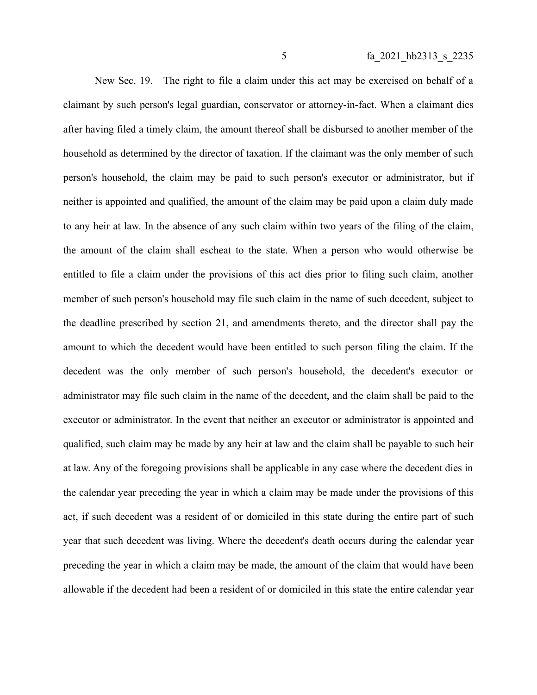New Sec. 19. The right to file a claim under this act may be exercised on behalf of a claimant by such person's legal guardian, conservator or attorney-in-fact. When a claimant dies after having filed a timely claim, the amount thereof shall be disbursed to another member of the household as determined by the director of taxation. If the claimant was the only member of such person's household, the claim may be paid to such person's executor or administrator, but if neither is appointed and qualified, the amount of the claim may be paid upon a claim duly made to any heir at law. In the absence of any such claim within two years of the filing of the claim, the amount of the claim shall escheat to the state. When a person who would otherwise be entitled to file a claim under the provisions of this act dies prior to filing such claim, another member of such person's household may file such claim in the name of such decedent, subject to the deadline prescribed by section 21, and amendments thereto, and the director shall pay the amount to which the decedent would have been entitled to such person filing the claim. If the decedent was the only member of such person's household, the decedent's executor or administrator may file such claim in the name of the decedent, and the claim shall be paid to the executor or administrator. In the event that neither an executor or administrator is appointed and qualified, such claim may be made by any heir at law and the claim shall be payable to such heir at law. Any of the foregoing provisions shall be applicable in any case where the decedent dies in the calendar year preceding the year in which a claim may be made under the provisions of this act, if such decedent was a resident of or domiciled in this state during the entire part of such year that such decedent was living. Where the decedent's death occurs during the calendar year preceding the year in which a claim may be made, the amount of the claim that would have been allowable if the decedent had been a resident of or domiciled in this state the entire calendar year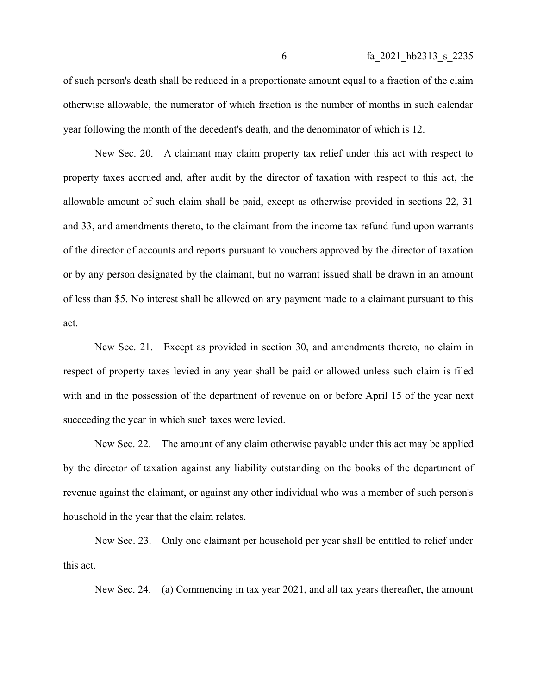of such person's death shall be reduced in a proportionate amount equal to a fraction of the claim otherwise allowable, the numerator of which fraction is the number of months in such calendar year following the month of the decedent's death, and the denominator of which is 12.

New Sec. 20. A claimant may claim property tax relief under this act with respect to property taxes accrued and, after audit by the director of taxation with respect to this act, the allowable amount of such claim shall be paid, except as otherwise provided in sections 22, 31 and 33, and amendments thereto, to the claimant from the income tax refund fund upon warrants of the director of accounts and reports pursuant to vouchers approved by the director of taxation or by any person designated by the claimant, but no warrant issued shall be drawn in an amount of less than \$5. No interest shall be allowed on any payment made to a claimant pursuant to this act.

New Sec. 21. Except as provided in section 30, and amendments thereto, no claim in respect of property taxes levied in any year shall be paid or allowed unless such claim is filed with and in the possession of the department of revenue on or before April 15 of the year next succeeding the year in which such taxes were levied.

New Sec. 22. The amount of any claim otherwise payable under this act may be applied by the director of taxation against any liability outstanding on the books of the department of revenue against the claimant, or against any other individual who was a member of such person's household in the year that the claim relates.

New Sec. 23. Only one claimant per household per year shall be entitled to relief under this act.

New Sec. 24. (a) Commencing in tax year 2021, and all tax years thereafter, the amount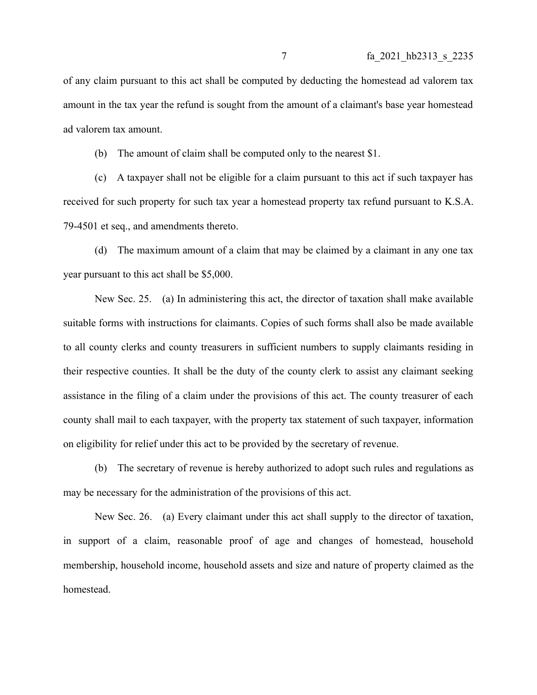of any claim pursuant to this act shall be computed by deducting the homestead ad valorem tax amount in the tax year the refund is sought from the amount of a claimant's base year homestead ad valorem tax amount.

(b) The amount of claim shall be computed only to the nearest \$1.

(c) A taxpayer shall not be eligible for a claim pursuant to this act if such taxpayer has received for such property for such tax year a homestead property tax refund pursuant to K.S.A. 79-4501 et seq., and amendments thereto.

(d) The maximum amount of a claim that may be claimed by a claimant in any one tax year pursuant to this act shall be \$5,000.

New Sec. 25. (a) In administering this act, the director of taxation shall make available suitable forms with instructions for claimants. Copies of such forms shall also be made available to all county clerks and county treasurers in sufficient numbers to supply claimants residing in their respective counties. It shall be the duty of the county clerk to assist any claimant seeking assistance in the filing of a claim under the provisions of this act. The county treasurer of each county shall mail to each taxpayer, with the property tax statement of such taxpayer, information on eligibility for relief under this act to be provided by the secretary of revenue.

(b) The secretary of revenue is hereby authorized to adopt such rules and regulations as may be necessary for the administration of the provisions of this act.

New Sec. 26. (a) Every claimant under this act shall supply to the director of taxation, in support of a claim, reasonable proof of age and changes of homestead, household membership, household income, household assets and size and nature of property claimed as the homestead.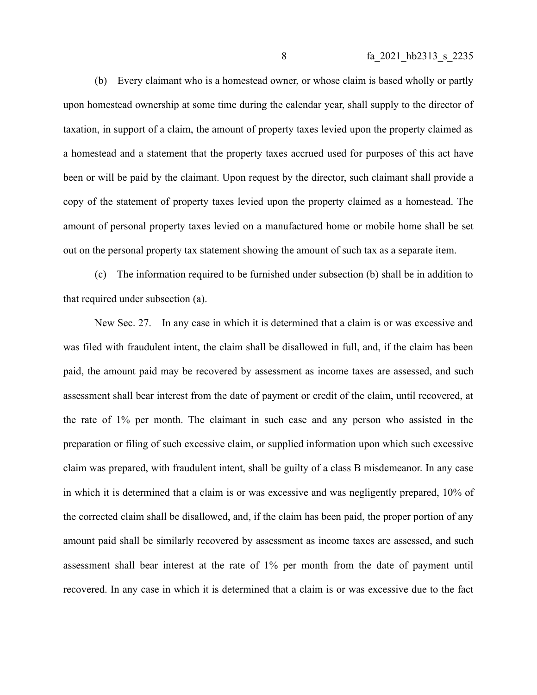(b) Every claimant who is a homestead owner, or whose claim is based wholly or partly upon homestead ownership at some time during the calendar year, shall supply to the director of taxation, in support of a claim, the amount of property taxes levied upon the property claimed as a homestead and a statement that the property taxes accrued used for purposes of this act have been or will be paid by the claimant. Upon request by the director, such claimant shall provide a copy of the statement of property taxes levied upon the property claimed as a homestead. The amount of personal property taxes levied on a manufactured home or mobile home shall be set out on the personal property tax statement showing the amount of such tax as a separate item.

(c) The information required to be furnished under subsection (b) shall be in addition to that required under subsection (a).

New Sec. 27. In any case in which it is determined that a claim is or was excessive and was filed with fraudulent intent, the claim shall be disallowed in full, and, if the claim has been paid, the amount paid may be recovered by assessment as income taxes are assessed, and such assessment shall bear interest from the date of payment or credit of the claim, until recovered, at the rate of 1% per month. The claimant in such case and any person who assisted in the preparation or filing of such excessive claim, or supplied information upon which such excessive claim was prepared, with fraudulent intent, shall be guilty of a class B misdemeanor. In any case in which it is determined that a claim is or was excessive and was negligently prepared, 10% of the corrected claim shall be disallowed, and, if the claim has been paid, the proper portion of any amount paid shall be similarly recovered by assessment as income taxes are assessed, and such assessment shall bear interest at the rate of 1% per month from the date of payment until recovered. In any case in which it is determined that a claim is or was excessive due to the fact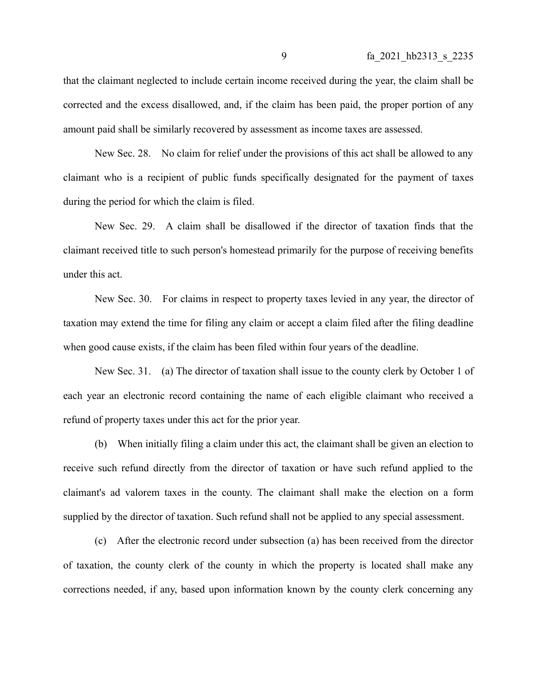that the claimant neglected to include certain income received during the year, the claim shall be corrected and the excess disallowed, and, if the claim has been paid, the proper portion of any amount paid shall be similarly recovered by assessment as income taxes are assessed.

New Sec. 28. No claim for relief under the provisions of this act shall be allowed to any claimant who is a recipient of public funds specifically designated for the payment of taxes during the period for which the claim is filed.

New Sec. 29. A claim shall be disallowed if the director of taxation finds that the claimant received title to such person's homestead primarily for the purpose of receiving benefits under this act.

New Sec. 30. For claims in respect to property taxes levied in any year, the director of taxation may extend the time for filing any claim or accept a claim filed after the filing deadline when good cause exists, if the claim has been filed within four years of the deadline.

New Sec. 31. (a) The director of taxation shall issue to the county clerk by October 1 of each year an electronic record containing the name of each eligible claimant who received a refund of property taxes under this act for the prior year.

(b) When initially filing a claim under this act, the claimant shall be given an election to receive such refund directly from the director of taxation or have such refund applied to the claimant's ad valorem taxes in the county. The claimant shall make the election on a form supplied by the director of taxation. Such refund shall not be applied to any special assessment.

(c) After the electronic record under subsection (a) has been received from the director of taxation, the county clerk of the county in which the property is located shall make any corrections needed, if any, based upon information known by the county clerk concerning any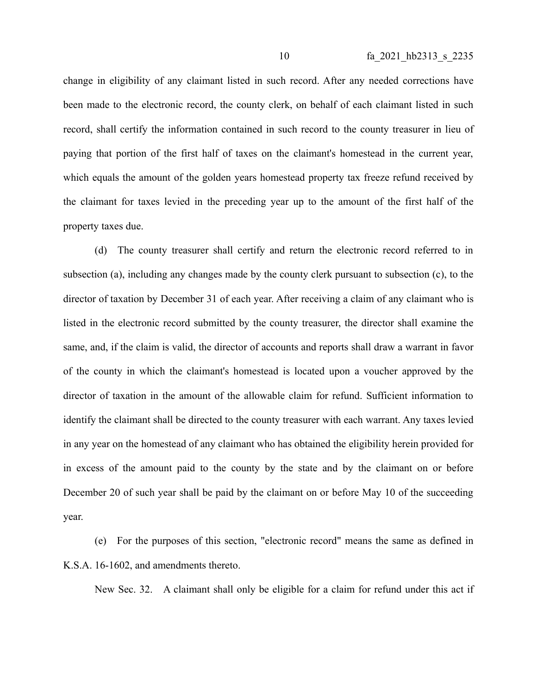change in eligibility of any claimant listed in such record. After any needed corrections have been made to the electronic record, the county clerk, on behalf of each claimant listed in such record, shall certify the information contained in such record to the county treasurer in lieu of paying that portion of the first half of taxes on the claimant's homestead in the current year, which equals the amount of the golden years homestead property tax freeze refund received by the claimant for taxes levied in the preceding year up to the amount of the first half of the property taxes due.

(d) The county treasurer shall certify and return the electronic record referred to in subsection (a), including any changes made by the county clerk pursuant to subsection (c), to the director of taxation by December 31 of each year. After receiving a claim of any claimant who is listed in the electronic record submitted by the county treasurer, the director shall examine the same, and, if the claim is valid, the director of accounts and reports shall draw a warrant in favor of the county in which the claimant's homestead is located upon a voucher approved by the director of taxation in the amount of the allowable claim for refund. Sufficient information to identify the claimant shall be directed to the county treasurer with each warrant. Any taxes levied in any year on the homestead of any claimant who has obtained the eligibility herein provided for in excess of the amount paid to the county by the state and by the claimant on or before December 20 of such year shall be paid by the claimant on or before May 10 of the succeeding year.

(e) For the purposes of this section, "electronic record" means the same as defined in K.S.A. 16-1602, and amendments thereto.

New Sec. 32. A claimant shall only be eligible for a claim for refund under this act if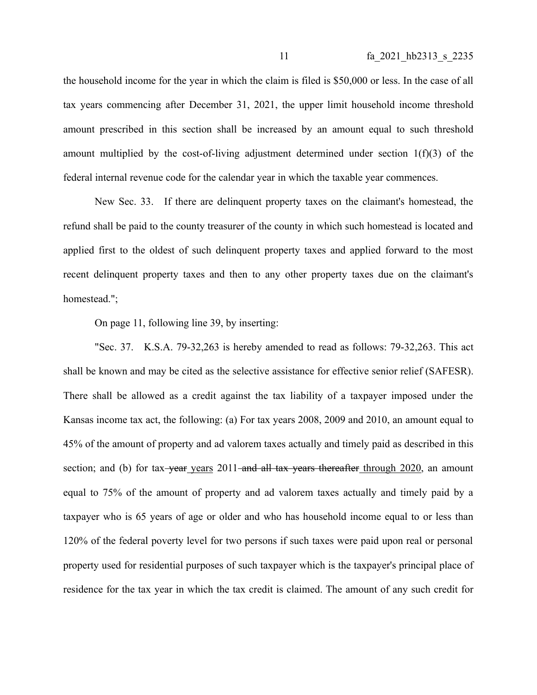the household income for the year in which the claim is filed is \$50,000 or less. In the case of all tax years commencing after December 31, 2021, the upper limit household income threshold amount prescribed in this section shall be increased by an amount equal to such threshold amount multiplied by the cost-of-living adjustment determined under section  $1(f)(3)$  of the federal internal revenue code for the calendar year in which the taxable year commences.

New Sec. 33. If there are delinquent property taxes on the claimant's homestead, the refund shall be paid to the county treasurer of the county in which such homestead is located and applied first to the oldest of such delinquent property taxes and applied forward to the most recent delinquent property taxes and then to any other property taxes due on the claimant's homestead.";

On page 11, following line 39, by inserting:

"Sec. 37. K.S.A. 79-32,263 is hereby amended to read as follows: 79-32,263. This act shall be known and may be cited as the selective assistance for effective senior relief (SAFESR). There shall be allowed as a credit against the tax liability of a taxpayer imposed under the Kansas income tax act, the following: (a) For tax years 2008, 2009 and 2010, an amount equal to 45% of the amount of property and ad valorem taxes actually and timely paid as described in this section; and (b) for tax-year years  $2011$ -and all tax years thereafter through  $2020$ , an amount equal to 75% of the amount of property and ad valorem taxes actually and timely paid by a taxpayer who is 65 years of age or older and who has household income equal to or less than 120% of the federal poverty level for two persons if such taxes were paid upon real or personal property used for residential purposes of such taxpayer which is the taxpayer's principal place of residence for the tax year in which the tax credit is claimed. The amount of any such credit for